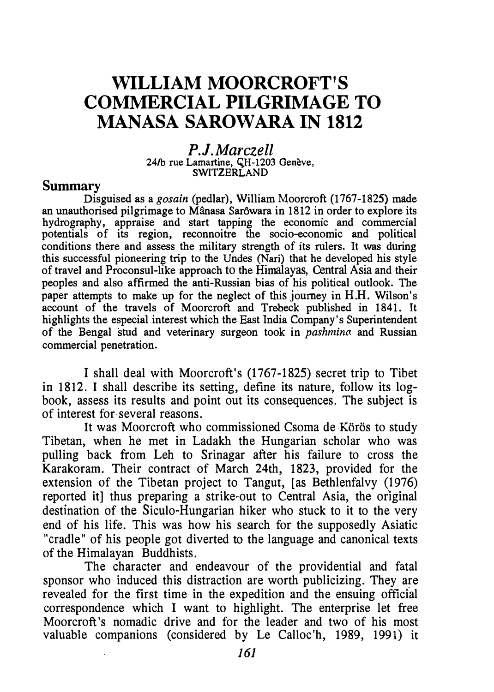# WILLIAM MOORCROFT'S COMMERCIAL PILGRIMAGE TO MANASA SAROWARA IN 1812

P.J. Marczell 24/b rue Lamartine, CH-1203 Genève, SWITZERLAND

#### Summary

Disguised as a *gosain* (pedlar), William Moorcroft (1767-1825) made an unauthorised pilgrimage to Mânasa Sarôwara in 1812 in order to explore its hydrography, appraise and start tapping the economic and commercial potentials of its region, reconnoitre the socio-economic and political conditions there and assess the military strength of its rulers. It was during this successful pioneering trip to the Undes (Nari) that he developed his style of travel and Proconsul-like approach to the Himalayas, Central Asia and their peoples and also affirmed the anti-Russian bias of his political outlook. The paper attempts to make up for the neglect of this journey in H.H. Wilson's account of the travels of Moorcroft and Trebeck published in 1841. It highlights the especial interest which the East India Company's Superintendent of the Bengal stud and veterinary surgeon took in pashmina and Russian commercial penetration.

I shall deal with Moorcroft's (1767-1825) secret trip to Tibet in 1812. I shall describe its setting, define its nature, follow its logbook, assess its results and point out its consequences. The subject is of interest for several reasons.

It was Moorcroft who commissioned Csoma de Körös to study Tibetan, when he met in Ladakh the Hungarian scholar who was pulling back from Leh to Srinagar after his failure to cross the Karakoram. Their contract of March 24th, 1823, provided for the extension of the Tibetan project to Tangut, [as Bethlenfalvy (1976) reported it] thus preparing a strike-out to Central Asia, the original destination of the Siculo-Hungarian hiker who stuck to it to the very end of his life. This was how his search for the supposedly Asiatic "cradle" of his people got diverted to the language and canonical texts of the Himalayan Buddhists.

The character and endeavour of the providential and fatal sponsor who induced this distraction are worth publicizing. They are revealed for the first time in the expedition and the ensuing official correspondence which I want to highlight. The enterprise let free Moorcroft's nomadic drive and for the leader and two of his most valuable companions (considered by Le Calloc'h, 1989, 1991) it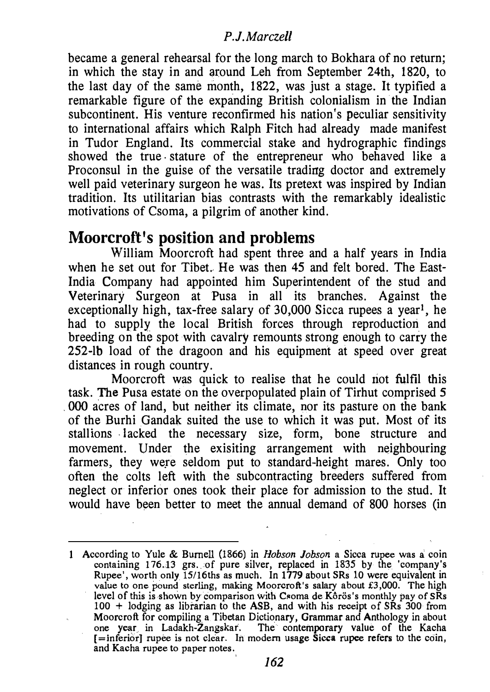became a general rehearsal for the long march to Bokhara of no return; in which the stay in and around Leh from September 24th, 1820, to the last day of the same month, 1822, was just a stage. It typified a remarkable figure of the expanding British colonialism in the Indian subcontinent. His venture reconfirmed his nation's peculiar sensitivity to international affairs which Ralph Fitch had already made manifest in Tudor England. Its commercial stake and hydrographic findings showed the true . stature of the entrepreneur who behaved like a Proconsul in the guise of the versatile trading doctor and extremely well paid veterinary surgeon he was. Its pretext was inspired by Indian tradition. Its utilitarian bias contrasts with the remarkably idealistic motivations of Csoma, a pilgrim of another kind.

# Moorcroft's position and problems

William Moorcroft had spent three and a half years in India when he set out for Tibet. He was then 45 and felt bored. The East-India Company had appointed him Superintendent of the stud and Veterinary Surgeon at Pusa in all its branches. Against the exceptionally high, tax-free salary of  $30,000$  Sicca rupees a year<sup>1</sup>, he had to supply the local British forces through reproduction and breeding on the spot with cavalry remounts strong enough to carry the 252-lb load of the dragoon and his equipment at speed over great distances in rough country.

Moorcroft was quick to realise that he could not fulfil this task. The Pusa estate on the overpopulated plain of Tirhut comprised 5 . 000 acres of land, but neither its climate, nor its pasture on the bank of the Burhi Gandak suited the use to which it was put. Most of its stallions lacked the necessary size, form, bone structure and movement. Under the exisiting arrangement with neighbouring farmers, they were seldom put to standard-height mares. Only too often the colts left with the subcontracting breeders suffered from neglect or inferior ones took their place for admission to the stud. It would have been better to meet the annual demand of 800 horses (in

According to Yule & Burnell (1866) in *Hobson Jobson* a Sicca rupee was a coin containing 176.13 grs. ·of pure silver, replaced in 1835 by the 'company's Rupee', worth only  $15/16$ ths as much. In 1779 about SRs 10 were equivalent in value to one pound sterling, making Moorcroft's salary about £3,000. The high level of this is shown by comparison with Csoma de Kôrös's monthly pay of SRs 100 + lodging as librarian to the ASB, and with his receipt of SRs 300 from Moorcroft for compiling a Tibetan Dictionary, Grammar and Anthology in about one year in Ladakh-Zangskar. The contemporary value of the Kacha [=inferior] rupee is not clear. In modern usage Sicca rupee refers to the coin, and Kacha rupee to paper notes.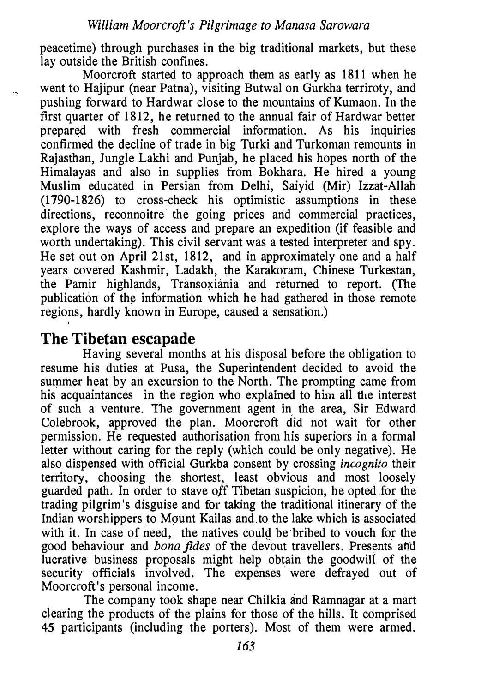peacetime) through purchases in the big traditional markets, but these lay outside the British confines.

Moorcroft started to approach them as early as 1811 when he went to Hajipur (near Patna), visiting Butwal on Gurkba terriroty, and pushing forward to Hardwar close to the mountains of Kumaon. In the first quarter of 1812, he returned to the annual fair of Hardwar better prepared with fresh commercial information. As his inquiries confirmed the decline of trade in big Turki and Turkoman remounts in Rajasthan, Jungle Lakbi and Punjab, he placed his hopes north of the Himalayas and also in supplies from Bokbara. He hired a young Muslim educated in Persian from Delhi, Saiyid (Mir) Izzat-Allah (1790-1826) to cross-check his optimistic assumptions in these directions, reconnoitre the going prices and commercial practices, explore the ways of access and prepare an expedition (if feasible and worth undertaking). This civil servant was a tested interpreter and spy. He set out on April 21st, 1812, and in approximately one and a half years covered Kashmir, Ladakb, 'the Karakoram, Chinese Turkestan, the Pamir highlands, Transoxiania and returned to report. (The publication of the information which he had gathered in those remote regions, hardly known in Europe, caused a sensation.)

# The Tibetan escapade

Having several months at his disposal before the obligation to resume his duties at Pusa, the Superintendent decided to avoid the summer heat by an excursion to the North. The prompting came from his acquaintances in the region who explained to him all the interest of such a venture. The government agent in. the area, Sir Edward Colebrook, approved the plan. Moorcroft did not wait for other permission. He requested authorisation from his superiors in a formal letter without caring for the reply (which could be only negative). He also dispensed with official Gurkba consent by crossing *incognito* their territory, choosing the shortest, least obvious and most loosely guarded path. In order to stave off Tibetan suspicion, he opted for the trading pilgrim's disguise and for taking the traditional itinerary of the Indian worshippers to Mount Kailas and to the lake which is associated with it. In case of need, the natives could be bribed to vouch for the good behaviour and bona fides of the devout travellers. Presents and lucrative business proposals might help obtain the goodwill of the security officials involved. The expenses were defrayed out of Moorcroft's personal income.

The company took shape near Chilkia and Ramnagar at a mart clearing the products of the plains for those of the hills. It comprised 45 participants (including the porters). Most of them were armed.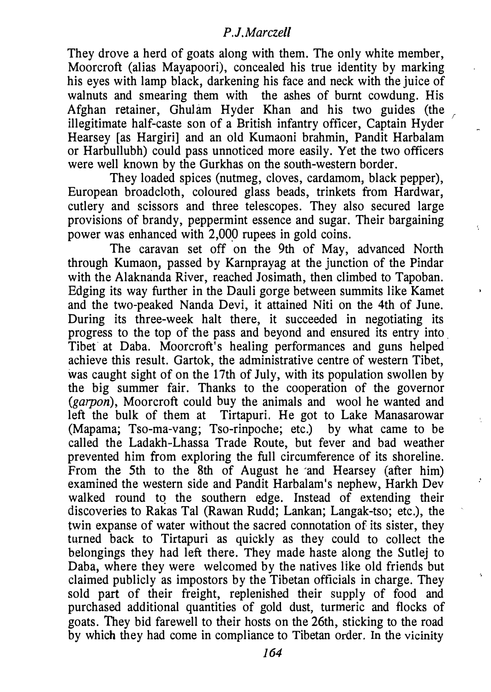They drove a herd of goats along with them. The only white member, Moorcroft (alias Mayapoori), concealed his true identity by marking his eyes with lamp black, darkening his face and neck with the juice of walnuts and smearing them with the ashes of burnt cowdung. His Afghan retainer, Ghulam Hyder Khan and his two guides (the illegitimate half-caste son of a British infantry officer, Captain Hyder Hearsey [as Hargiri] and an old Kumaoni brahmin, Pandit Harbalam or Harbullubh) could pass unnoticed more easily. Yet the two officers were well known by the Gurkhas on the south-western border.

They loaded spices (nutmeg, cloves, cardamom, black pepper), European broadcloth, coloured glass beads, trinkets from Hardwar, cutlery and scissors and three telescopes. They also secured large provisions of brandy, peppermint essence and sugar. Their bargaining power was enhanced with 2,000 rupees in gold coins.

The caravan set off on the 9th of May, advanced North through Kumaon, passed by Karnprayag at the junction of the Pindar with the Alaknanda River, reached Josimath, then climbed to Tapoban. Edging its way further in the Dauli gorge between summits like Kamet and the two-peaked Nanda Devi, it attained Niti on the 4th of June. During its three-week halt there, it succeeded in negotiating its progress to the top of the pass and beyond and ensured its entry into . Tibet at Daba. Moorcroft's healing performances and guns helped achieve this result. Gartok, the administrative centre of western Tibet, was caught sight of on the 17th of July, with its population swollen by the big summer fair. Thanks to the cooperation of the governor (garpon), Moorcroft could buy the animals and wool he wanted and left the bulk of them at Tirtapuri. He got to Lake Manasarowar (Mapama; Tso-ma-vang; Tso-rinpoche; etc.) by what came to be called the Ladakh-Lhassa Trade Route, but fever and bad weather prevented him from exploring the full circumference of its shoreline. From the 5th to the 8th of August he and Hearsey (after him) examined the western side and Pandit Harbalam's nephew, Harkh Dev walked round to the southern edge. Instead of extending their discoveries to Rakas Tal (Rawan Rudd; Lankan; Langak-tso; etc.), the twin expanse of water without the sacred connotation of its sister, they turned back to Tirtapuri as quickly as they could to collect the belongings they had left there. They made haste along the Sutlej to Daba, where they were welcomed by the natives like old friends but claimed publicly as impostors by the Tibetan officials in charge. They sold part of their freight, replenished their supply of food and purchased additional quantities of gold dust, turmeric and flocks of goats. They bid farewell to their hosts on the 26th, sticking to the road by which they had come in compliance to Tibetan order. In the vicinity

ŧ.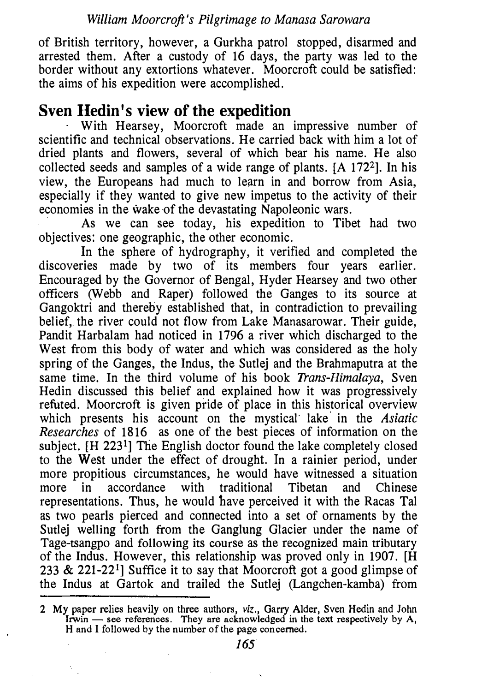of British territory, however, a Gurkha patrol stopped, disarmed and arrested them. After a custody of 16 days, the party was led to the border without any extortions whatever. Moorcroft could be satisfied: the aims of his expedition were accomplished.

# Sven Hedin's view of the expedition

With Hearsey, Moorcroft made an impressive number of scientific and technical observations. He carried back with him a lot of dried plants and flowers, several of which bear his name. He also collected seeds and samples of a wide range of plants. [A 1722]. In his view, the Europeans had much to learn in and borrow from Asia, especially if they wanted to give new impetus to the activity of their economies in the wake-of the devastating Napoleonic wars.

As we can see today, his expedition to Tibet had two objectives: one geographic, the other economic.

In the sphere of hydrography, it verified and completed the discoveries made by two of its members four years earlier. Encouraged by the Governor of Bengal, Hyder Hearsey and two other officers (Webb and Raper) followed the Ganges to its source at Gangoktri and thereby established that, in contradiction to prevailing belief, the river could not flow from Lake Manasarowar. Their guide, Pandit Harbalam had noticed in 1796 a river which discharged to the West from this body of water and which was considered as the holy spring of the Ganges, the Indus, the Sutlej and the Brahmaputra at the same time. In the third volume of his book *Trans-Himalaya*, Sven Hedin discussed this belief and explained how it was progressively refuted. Moorcroft is given pride of place in this historical overview which presents his account on the mystical lake in the *Asiatic* Researches of 1816 as one of the best pieces of information on the subject. **IH 223<sup>1</sup>** The English doctor found the lake completely closed to the West under the effect of drought. In a rainier period, under more propitious circumstances, he would have witnessed a situation more in accordance with traditional Tibetan and Chinese representations. Thus, he would have perceived it with the Racas Tal as two pearls pierced and connected into a set of ornaments by the Sutlej welling forth from the Ganglung Glacier under the name of Tage-tsangpo and following its course as the recognized main tributary of the Indus. However, this relationship was proved only in 1907. [H 233 & 221-221] Suffice it to say that Moorcroft got a good glimpse of the Indus at Gartok and trailed the Sutlej (Langchen-kamba) from

<sup>2</sup> My paper relies heavily on three authors, viz., Garry Alder, Sven Hedin and John Irwin — see references. They are acknowledged in the text respectively by A, H and I followed by the number of the page concerned.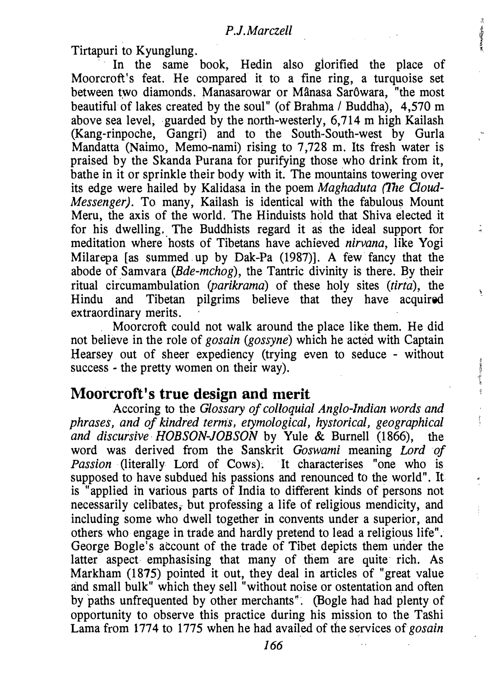**HEAT THE REAL** 

¥.

计数据数据 计可变

 $\tilde{\xi}$ 

 $\frac{d}{dt}$ 

ŧ,

Tirtapuri to Kyunglung.

In the same book, Hedin also glorified the place of Moorcroft's feat. He compared it to a fine ring, a turquoise set between two diamonds. Manasarowar or Mânasa Sarôwara, "the most beautiful of lakes created by the soul" (of Brahma / Buddha), 4,570 m above sea level, guarded by the north-westerly, 6,714 m high Kailash (Kang-rinpoche, Gangri) and to the South-South-west by Gurla Mandatta (Naimo, Memo-nami) rising to 7,728 m. Its fresh water is praised by the Skanda Purana for purifying those who drink from it, bathe in it or sprinkle their body with it. The mountains towering over its edge were hailed by Kalidasa in the poem Maghaduta (The Cloud-Messenger). To many, Kailash is identical with the fabulous Mount Meru, the axis of the world. The Hinduists hold that Shiva elected it for his dwelling. The Buddhists regard it as the ideal support for meditation where hosts of Tibetans have achieved nirvana, like Yogi Milarepa [as summed up by Dak-Pa (1987)]. A few fancy that the abode of Samvara (Bde-mchog), the Tantric divinity is there. By their ritual circumambulation (parikrama) of these holy sites (tirta), the Hindu and Tibetan pilgrims believe that they have acquired extraordinary merits.

Moorcroft could not walk around the place like them. He did not believe in the role of gosain (gossyne) which he acted with Captain Hearsey out of sheer expediency (trying even to seduce - without success - the pretty women on their way).

## Moorcroft's true design and merit

Accoring to the Glossary of colloquial Anglo-lndian words and phrases, and of kindred terms, etymological, hystorical, geographical and discursive HOBSON-JOBSON by Yule & Burnell (1866), the word was derived from the Sanskrit Goswami meaning Lord of Passion (literally Lord of Cows). It characterises "one who is supposed to have subdued his passions and renounced to the world". It is "applied in various parts of India to different kinds of persons not necessarily celibates, but professing a life of religious mendicity, and including some who dwell together in convents under a superior, and others who engage in trade and hardly pretend to lead a religious life". George Bogie's account of the trade of Tibet depicts them under the latter aspect emphasising that many of them are quite rich. As Markham (1875) pointed it out, they deal in articles of "great value and small bulk" which they sell "without noise or ostentation and often by paths unfrequented by other merchants''. (Bogie had had plenty of opportunity to observe this practice during his mission to the Tashi Lama from 1774 to 1775 when he had availed of the services of gosain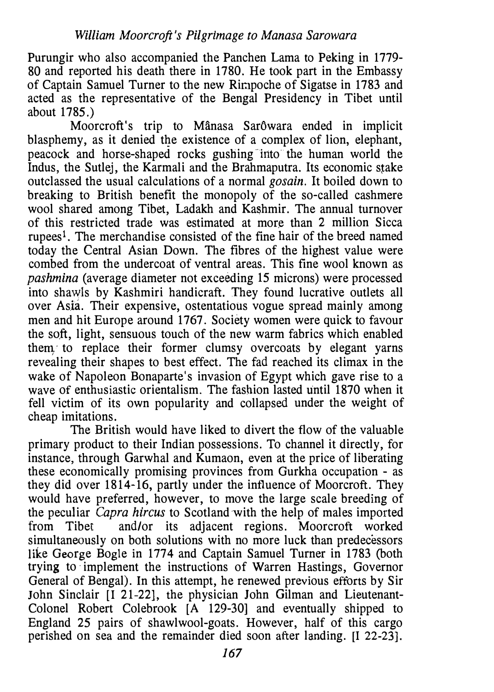Purungir who also accompanied the Panchen Lama to Peking in 1779- 80 and reported his death there in 1780. He took part in the Embassy of Captain Samuel Turner to the new Rimpoche of Sigatse in 1783 and acted as the representative of the Bengal Presidency in Tibet until about 1785.)

Moorcroft's trip to Mânasa Sarôwara ended in implicit blasphemy, as it denied the existence of a complex of lion, elephant, peacock and horse-shaped rocks gushing into the human world the Indus, the Sutlej, the Karmali and the Brahmaputra. Its economic stake outclassed the usual calculations of a normal gosain. It boiled down to breaking to British benefit the monopoly of the so-called cashmere wool shared among Tibet, Ladakh and Kashmir. The annual turnover of this restricted trade was estimated at more than 2 million Sicca rupees!. The merchandise consisted of the fine hair of the breed named today the Central Asian Down. The fibres of the highest value were combed from the undercoat of ventral areas. This fine wool known as pashmina (average diameter not exceeding 15 microns) were processed into shawls by Kashmiri handicraft. They found lucrative outlets all over Asia. Their expensive, ostentatious vogue spread mainly among men and hit Europe around 1767. Society women were quick to favour the soft, light, sensuous touch of the new warm fabrics which enabled them to replace their former clumsy overcoats by elegant yarns revealing their shapes to best effect. The fad reached its climax in the wake of Napoleon Bonaparte's invasion of Egypt which gave rise to a wave of enthusiastic orientalism. The fashion lasted until 1870 when it fell victim of its own popularity and collapsed under the weight of cheap imitations.

The British would have liked to divert the flow of the valuable primary product to their Indian possessions. To channel it directly, for instance, through Garwhal and Kumaon, even at the price of liberating these economically promising provinces from Gurkha occupation - as they did over 1814-16, partly under the influence of Moorcroft. They would have preferred, however, to move the large scale breeding of the peculiar Capra hircus to Scotland with the help of males imported<br>from Tibet and/or its adjacent regions. Moorcroft worked and/or its adjacent regions. Moorcroft worked simultaneously on both solutions with no more luck than predecessors like George Bogle in 1774 and Captain Samuel Turner in 1783 (both trying to implement the instructions of Warren Hastings, Governor General of Bengal). In this attempt, he renewed previous efforts by Sir John Sinclair [I 21-22], the physician John Gilman and Lieutenant-Colonel Robert Colebrook [A 129-30] and eventually shipped to England 25 pairs of shawlwool-goats. However, half of this cargo perished on sea and the remainder died soon after landing. [I 22-23].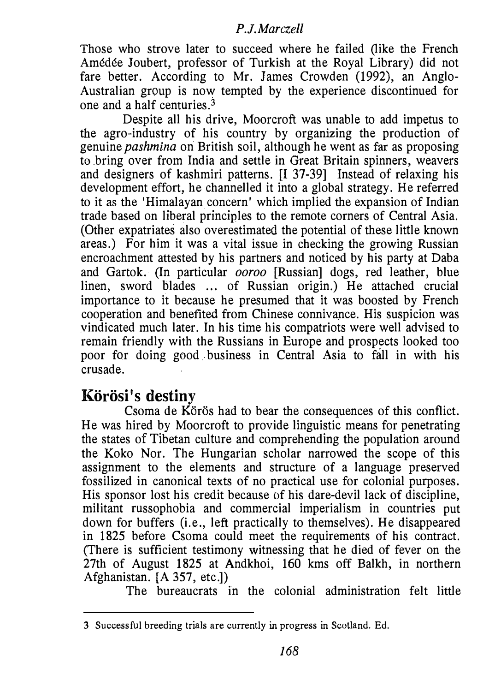Those who strove later to succeed where he failed (like the French Amedee Joubert, professor of Turkish at the Royal Library) did not fare better. According to Mr. James Crowden (1992), an Anglo-Australian group is now tempted by the experience discontinued for one and a half centuries. $3$ 

Despite all his drive, Moorcroft was unable to add impetus to the agro-industry of his country by organizing the production of genuine pashmina on British soil, although he went as far as proposing to bring over from India and settle in Great Britain spinners, weavers and designers of kashmiri patterns. [I 37-39] Instead of relaxing his development effort, he channelled it into a global strategy. He referred to it as the 'Himalayan concern' which implied the expansion of Indian trade based on liberal principles to the remote corners of Central Asia. (Other expatriates also overestimated the potential of these little known areas.) For him it was a vital issue in checking the growing Russian encroachment attested by his partners and noticed by his party at Daba and Gartok. (In particular ooroo [Russian] dogs, red leather, blue linen, sword blades ... of Russian origin.) He attached crucial importance to it because he presumed that it was boosted by French cooperation and benefited from Chinese connivance. His suspicion was vindicated much later. In his time his compatriots were well advised to remain friendly with the Russians in Europe and prospects looked too poor for doing good business in Central Asia to fall in with his crusade.

# Körösi's destiny

Csoma de Körös had to bear the consequences of this conflict. He was hired by Moorcroft to provide linguistic means for penetrating the states of Tibetan culture and comprehending the population around the Koko Nor. The Hungarian scholar narrowed the scope of this assignment to the elements and structure of a language preserved fossilized in canonical texts of no practical use for colonial purposes. His sponsor lost his credit because of his dare-devil lack of discipline, militant russophobia and commercial imperialism in countries put down for buffers (i.e., left practically to themselves). He disappeared in 1825 before Csoma could meet the requirements of his contract. (There is sufficient testimony witnessing that he died of fever on the 27th of August 1825 at Andkhoi, 160 kms off Balkh, in northern Afghanistan. [A 357, etc.])

The bureaucrats in the colonial administration felt little

<sup>3</sup> Successful breeding trials are currently in progress in Scotland. Ed.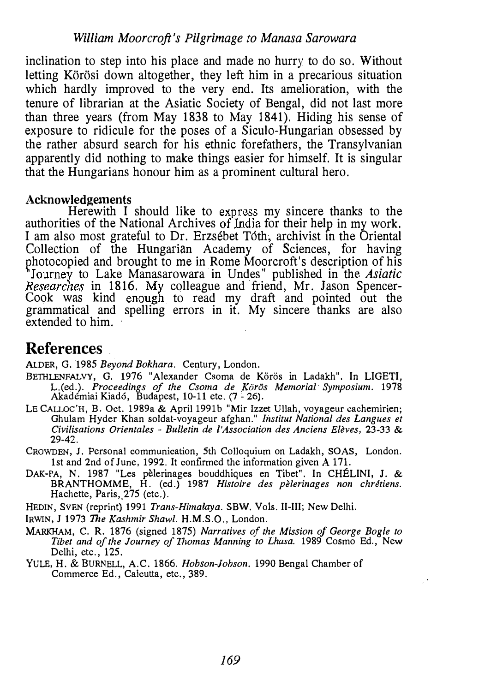inclination to step into his place and made no hurry to do so. Without letting Körösi down altogether, they left him in a precarious situation which hardly improved to the very end. Its amelioration, with the tenure of librarian at the Asiatic Society of Bengal, did not last more than three years (from May 1838 to May 1841). Hiding his sense of exposure to ridicule for the poses of a Siculo-Hungarian obsessed by the rather absurd search for his ethnic forefathers, the Transylvanian apparently did nothing to make things easier for himself. It is singular that the Hungarians honour him as a prominent cultural hero.

#### Acknowledgements

Herewith I should like to express my sincere thanks to the authorities of the National Archives of India for their help in my work. I am also most grateful to Dr. Erzsébet Tóth, archivist in the Oriental Collection of the Hungarian Academy of Sciences, for having photocopied and brought to me in Rome Moorcroft's description of his <sup>\*</sup>Journey to Lake Manasarowara in Undes" published in the *Asiatic* Researches in 1816. My colleague and friend, Mr. Jason Spencer-Cook was kind enough to read my draft and pointed out the grammatical and spelling errors in it. My sincere thanks are also extended to him.

# References

ALDER, G. 1985 Beyond Bokhara. Century, London.

- BETHLENFALVY, G. 1976 "Alexander Csoma de Körös in Ladakh". In LIGETI, L.(ed.). Proceedings of the Csoma de Körös Memorial Symposium. 1978 Akademiai Kiad6, Budapest, 10-11 etc. (7- 26).
- LE CALLOC'H, B. Oct. 1989a & April 1991b "Mir Izzet Ullah, voyageur cachemirien; Ghulam Hyder Khan soldat-voyageur afghan." *Institut National des Langues et* Civilisations Orientales - Bulletin de l'Association des Anciens Elèves,  $23-33$  & 29-42.
- CROWDEN, J. Personal communication, 5th Colloquium on Ladakh, SOAS, London. 1st and 2nd of June, 1992. It confirmed the information given A 171.
- DAK-PA, N. 1987 "Les pèlerinages bouddhiques en Tibet". In CHELINI, J. & BRANTHOMME, H. (ed.) 1987 Histoire des pèlerinages non chrétiens. Hachette, Paris, 275 (etc.).
- HEDIN, SVEN (reprint) 1991 Trans-Himalaya. SBW, Vols. II-III; New Delhi.
- IRWIN, J 1973 The Kashmir Shawl. H.M.S.O., London.
- MARKHAM, C. R. 1876 (signed 1875) Narratives of the Mission of George Bogie to Tibet and of the Journey of Thomas Manning to Lhasa. 1989 Cosmo Ed., New Delhi, etc., 125.
- YULE, H. & BURNELL, A.C. 1866. Hobson-Johson. 1990 Bengal Chamber of Commerce Ed., Calcutta, etc., 389.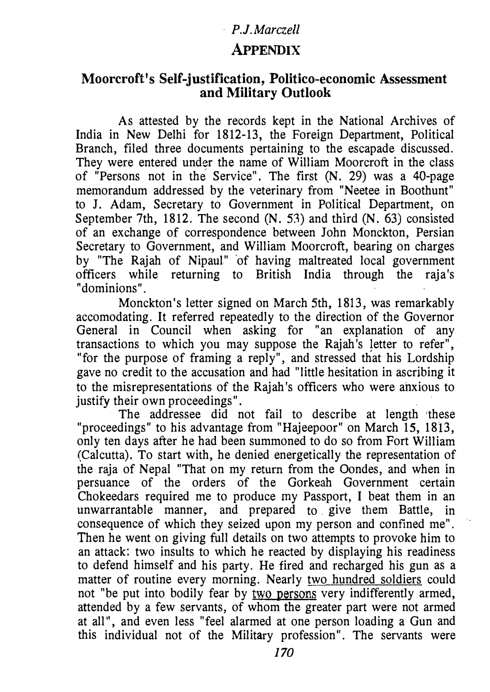## APPENDIX

### Moorcroft's Self-justification, Politico-economic Assessment and Military Outlook

As attested by the records kept in the National Archives of India in New Delhi for 1812-13, the Foreign Department, Political Branch, filed three documents pertaining to the escapade discussed. They were entered under the name of William Moorcroft in the class of "Persons not in the Service". The first (N. 29) was a 40-page memorandum addressed by the veterinary from "Neetee in Boothunt" to J. Adam, Secretary to Government in Political Department, on September 7th, 1812. The second (N. 53) and third (N. 63) consisted of an exchange of correspondence between John Monckton, Persian Secretary to Government, and William Moorcroft, bearing on charges by "The Rajah of Nipaul" of having maltreated local government officers while returning to British India through the raja's "dominions".

Monckton's letter signed on March 5th, 1813, was remarkably accomodating. It referred repeatedly to the direction of the Governor General in Council when asking for "an explanation of any transactions to which you may suppose the Rajah's Jetter to refer", "for the purpose of framing a reply", and stressed that his Lordship gave no credit to the accusation and had "little hesitation in ascribing it to the misrepresentations of the Rajah's officers who were anxious to justify their own proceedings".

The addressee did not fail to describe at length 'these "proceedings" to his advantage from "Hajeepoor" on March 15, 1813, only ten days after he had been summoned to do so from Fort William (Calcutta). To start with, he denied energetically the representation of the raja of Nepal "That on my return from the Oondes, and when in persuance of the orders of the Gorkeah Government certain Chokeedars required me to produce my Passport, I beat them in an unwarrantable manner, and prepared to give them Battle, in consequence of which they seized upon my person and confined me". Then he went on giving full details on two attempts to provoke him to an attack: two insults to which he reacted by displaying his readiness to defend himself and his party. He fired and recharged his gun as a matter of routine every morning. Nearly two hundred soldiers could not "be put into bodily fear by two persons very indifferently armed, attended by a few servants, of whom the greater part were not armed at all'', and even less "feel alarmed at one person loading a Gun and this individual not of the Military profession". The servants were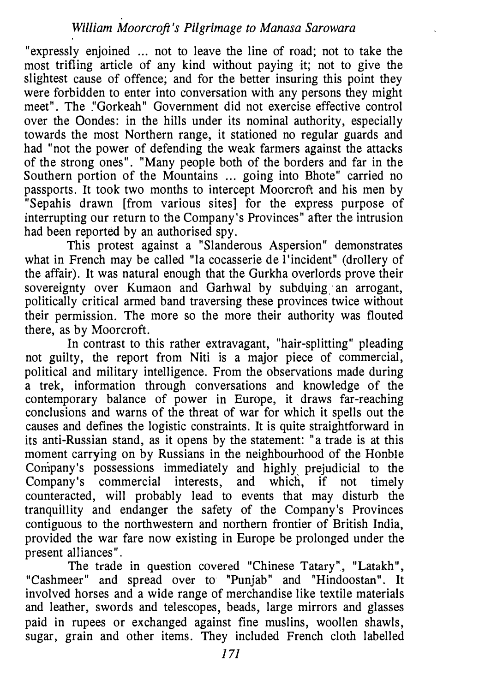"expressly enjoined ... not to leave the line of road; not to take the most trifling article of any kind without paying it; not to give the slightest cause of offence; and for the better insuring this point they were forbidden to enter into conversation with any persons they might meet". The "Gorkeah" Government did not exercise effective control over the Oondes: in the hills under its nominal authority, especially towards the most Northern range, it stationed no regular guards and had "not the power of defending the weak farmers against the attacks of the strong ones". "Many people both of the borders and far in the Southern portion of the Mountains ... going into Bhote" carried no passports. It took two months to intercept Moorcroft and his men by "Sepahis drawn [from various sites] for the express purpose of interrupting our return to the Company's Provinces" after the intrusion had been reported by an authorised spy.

This protest against a "Slanderous Aspersion" demonstrates what in French may be called "la cocasserie de l'incident" (drollery of the affair). It was natural enough that the Gurkha overlords prove their sovereignty over Kumaon and Garhwal by subduing an arrogant, politically critical armed band traversing these provinces twice without their permission. The more so the more their authority was flouted there, as by Moorcroft.

In contrast to this rather extravagant, "hair-splitting" pleading not guilty, the report from Niti is a major piece of commercial, political and military intelligence. From the observations made during a trek, information through conversations and knowledge of the contemporary balance of power in Europe, it draws far-reaching conclusions and warns of the threat of war for which it spells out the causes and defines the logistic constraints. It is quite straightforward in its anti-Russian stand, as it opens by the statement: "a trade is at this moment carrying on by Russians in the neighbourhood of the Honble Company's possessions immediately and highly prejudicial to the Company's commercial interests, and which, if not timely Company's commercial interests, and which, if not timely counteracted, will probably lead to events that may disturb the tranquillity and endanger the safety of the Company's Provinces contiguous to the northwestern and northern frontier of British India, provided the war fare now existing in Europe be prolonged under the present alliances".

The trade in question covered "Chinese Tatary", "Latakh", "Cashmeer" and spread over to "Punjab" and "Hindoostan". It involved horses and a wide range of merchandise like textile materials and leather, swords and telescopes, beads, large mirrors and glasses paid in rupees or exchanged against fine muslins, woollen shawls, sugar, grain and other items. They included French cloth labelled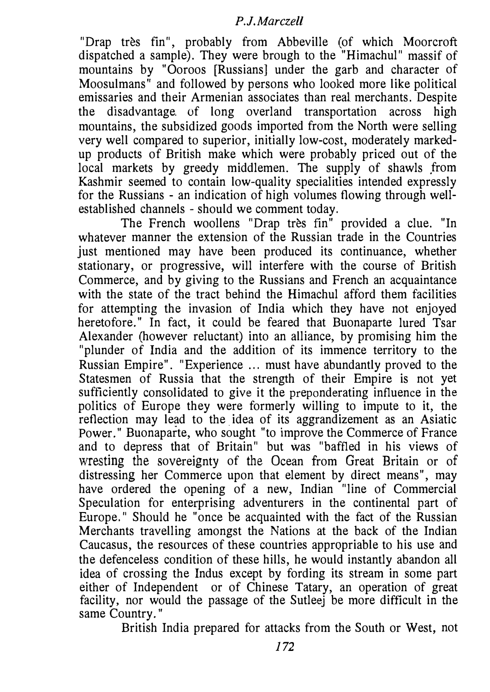"Drap tres fin", probably from Abbeville (of which Moorcroft dispatched a sample). They were brough to the "Himachul" massif of mountains by "Ooroos [Russians] under the garb and character of Moosulmans" and followed by persons who looked more like political emissaries and their Armenian associates than real merchants. Despite the disadvantage. of long overland transportation across high mountains, the subsidized goods imported from the North were selling very well compared to superior, initially low-cost, moderately markedup products of British make which were probably priced out of the local markets by greedy middlemen. The supply of shawls from Kashmir seemed to contain low-quality specialities intended expressly for the Russians - an indication of high volumes flowing through wellestablished channels - should we comment today.

The French woollens "Drap très fin" provided a clue. "In whatever manner the extension of the Russian trade in the Countries just mentioned may have been produced its continuance, whether stationary, or progressive, will interfere with the course of British Commerce, and by giving to the Russians and French an acquaintance with the state of the tract behind the Himachul afford them facilities for attempting the invasion of India which they have not enjoyed heretofore." In fact, it could be feared that Buonaparte lured Tsar Alexander (however reluctant) into an alliance, by promising him the "plunder of India and the addition of its immence territory to the Russian Empire". "Experience ... must have abundantly proved to the Statesmen of Russia that the strength of their Empire is not yet sufficiently consolidated to give it the preponderating influence in the politics of Europe they were formerly willing to impute to it, the reflection may lead to the idea of its aggrandizement as an Asiatic Power." Buonaparte, who sought "to improve the Commerce of France and to depress that of Britain" but was "baffled in his views of wresting the sovereignty of the Ocean from Great Britain or of distressing her Commerce upon that element by direct means", may have ordered the opening of a new, Indian "line of Commercial Speculation for enterprising adventurers in the continental part of Europe." Should he "once be acquainted with the fact of the Russian Merchants travelling amongst the Nations at the back of the Indian Caucasus, the resources of these countries appropriable to his use and the defenceless condition of these hills, he would instantly abandon all idea of crossing the Indus except by fording its stream in some part either of Independent or of Chinese Tatary, an operation of great facility, nor would the passage of the Sutleej be more difficult in the same Country. "

British India prepared for attacks from the South or West, not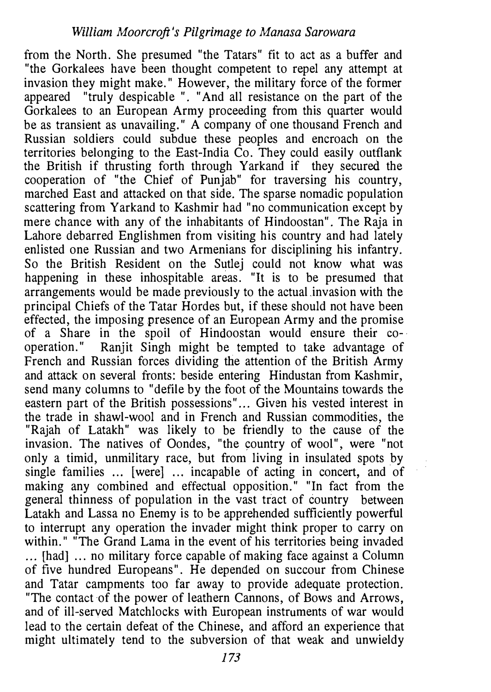from the North. She presumed "the Tatars" fit to act as a buffer and "the Gorkalees have been thought competent to repel any attempt at invasion they might make." However, the military force of the former appeared "truly despicable ". "And all resistance on the part of the Gorkalees to an European Army proceeding from this quarter would be as transient as unavailing." A company of one thousand French and Russian soldiers could subdue these peoples and encroach on the territories belonging to the East-India  $\overline{C}$ o. They could easily outflank the British if thrusting forth through Yarkand if they secured the cooperation of "the Chief of Punjab" for traversing his country, marched East and attacked on that side. The sparse nomadic population scattering from Yarkand to Kashmir had "no communication except by mere chance with any of the inhabitants of Hindoostan". The Raja in Lahore debarred Englishmen from visiting his country and had lately enlisted one Russian and two Armenians for disciplining his infantry. So the British Resident on the Sutlej could not know what was happening in these inhospitable areas. "It is to be presumed that arrangements would be made previously to the actual invasion with the principal Chiefs of the Tatar Hordes but, if these should not have been effected, the imposing presence of an European Army and the promise of a Share in the spoil of Hindoostan would ensure their eo-. operation." Ranjit Singh might be tempted to take advantage of French and Russian forces dividing the attention of the British Army and attack on several fronts: beside entering Hindustan from Kashmir, send many columns to "defile by the foot of the Mountains towards the eastern part of the British possessions"... Given his vested interest in the trade in shawl-wool and in French and Russian commodities, the "Rajah of Latakh" was likely to be friendly to the cause of the invasion. The natives of Oondes, "the country of wool", were "not only a timid, unmilitary race, but from living in insulated spots by single families ... [were] ... incapable of acting in concert, and of making any combined and effectual opposition." "In fact from the general thinness of population in the vast tract of country between Latakh and Lassa no Enemy is to be apprehended sufficiently powerful to interrupt any operation the invader might think proper to carry on within." "The Grand Lama in the event of his territories being invaded ... [had] ... no military force capable of making face against a Column of five hundred Europeans". He depended on succour from Chinese and Tatar campments too far away to provide adequate protection. "The contact of the power of leathern Cannons, of Bows and Arrows, and of ill-served Matchlocks with European instruments of war would lead to the certain defeat of the Chinese, and afford an experience that might ultimately tend to the subversion of that weak and unwieldy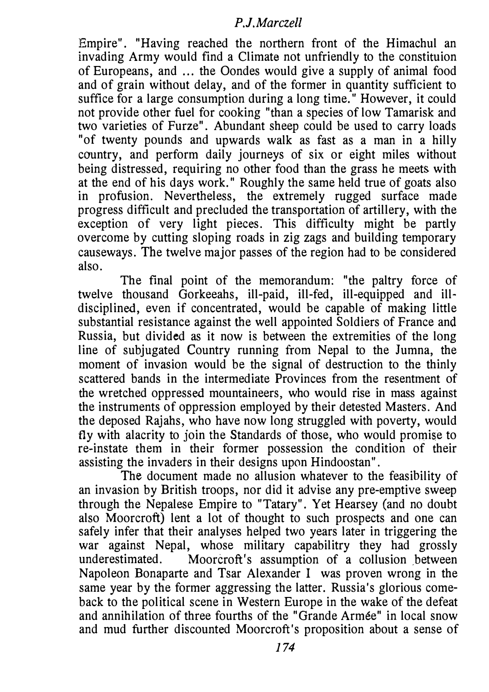Empire". "Having reached the northern front of the Himachul an invading Army would find a Climate not unfriendly to the constituion of Europeans, and ... the Oondes would give a supply of animal food and of grain without delay, and of the former in quantity sufficient to suffice for a large consumption during a long time." However, it could not provide other fuel for cooking "than a species of low Tamarisk and two varieties of Furze". Abundant sheep could be used to carry loads "of twenty pounds and upwards walk as fast as a man in a hilly country, and perform daily journeys of six or eight miles without being distressed, requiring no other food than the grass he meets with at the end of his days work." Roughly the same held true of goats also in profusion. Nevertheless, the extremely rugged surface made progress difficult and precluded the transportation of artillery, with the exception of very light pieces. This difficulty might be partly overcome by cutting sloping roads in zig zags and building temporary causeways. Tbe twelve major passes of the region had to be considered also.

The final point of the memorandum: "the paltry force of twelve thousand Gorkeeahs, ill-paid, ill-fed, ill-equipped and illdisciplined, even if concentrated, would be capable of making little substantial resistance against the well appointed Soldiers of France and Russia, but divided as it now is between the extremities of the long line of subjugated Country running from Nepal to the Jumna, the moment of invasion would be the signal of destruction to the thinly scattered bands in the intermediate Provinces from the resentment of the wretched oppressed mountaineers, who would rise in mass against the instruments of oppression employed by their detested Masters. And the deposed Rajahs, who have now long struggled with poverty, would fly with alacrity to join the Standards of those, who would promise to re-instate them in their former possession the condition of their assisting the invaders in their designs upon Hindoostan".

The document made no allusion whatever to the feasibility of an invasion by British troops, nor did it advise any pre-emptive sweep through the Nepalese Empire to "Tatary". Yet Hearsey (and no doubt also Moorcroft) lent a lot of thought to such prospects and one can safely infer that their analyses helped two years later in triggering the war against Nepal, whose military capabilitry they had grossly underestimated. Moorcroft's assumption of a collusion between Napoleon Bonaparte and Tsar Alexander I was proven wrong in the same year by the former aggressing the latter. Russia's glorious comeback to the political scene in Western Europe in the wake of the defeat and annihilation of three fourths of the "Grande Armee" in local snow and mud further discounted Moorcroft's proposition about a sense of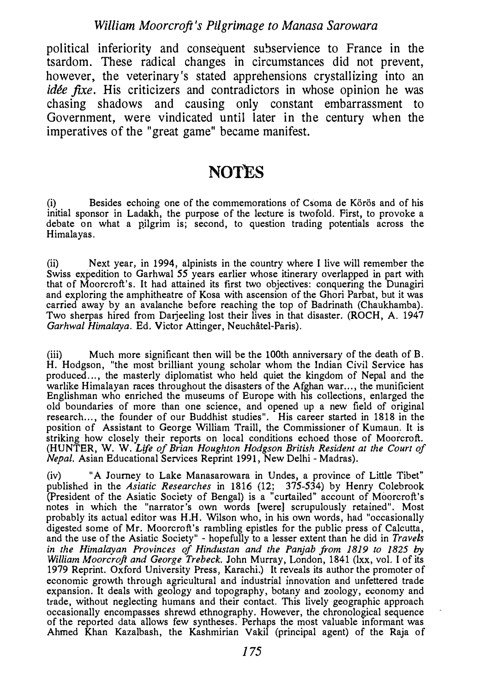#### William Moorcroft's Pilgrimage to Manasa Sarowara

political inferiority and consequent subservience to France in the tsardom. These radical changes in circumstances did not prevent, however, the veterinary's stated apprehensions crystallizing into an idée fixe. His criticizers and contradictors in whose opinion he was chasing shadows and causing only constant embarrassment to Government, were vindicated until later in the century when the imperatives of the "great game" became manifest.

# NOTES<sub></sub>

(i) Besides echoing one of the commemorations of Csoma de Körös and of his initial sponsor in Ladakh, the purpose of the lecture is twofold. First, to provoke a debate on what a pilgrim is; second, to question trading potentials across the Himalayas.

(ii) Next year, in 1994, alpinists in the country where I live will remember the Swiss expedition to Garhwal 55 years earlier whose itinerary overlapped in part with that of Moorcroft:'s. It had attained its first two objectives: conquering the Dunagiri and exploring the amphitheatre of Kosa with ascension of the Ghori Parbat, but it was carried away by an avalanche before reaching the top of Badrinath (Chaukhamba). Two sherpas hired from Darjeeling lost their lives in that disaster. (ROCH, A. 1947) Garhwal Himalaya. Ed. Victor Attinger, Neuchâtel-Paris).

(iii) Much more significant then will be the lOOth anniversary of the death of B. H. Hodgson, "the most brilliant young scholar whom the Indian Civil Service has produced ... , the masterly diplomatist who held quiet the kingdom of Nepal and the warlike Himalayan races throughout the disasters of the Afghan war..., the munificient Englishman who enriched the museums of Europe with his collections, enlarged the old boundaries of more than one science, and opened up a new field of original research..., the founder of our Buddhist studies". His career started in 1818 in the position of Assistant to George William Traill, the Commissioner of Kumaun. It is striking how closely their reports on local conditions echoed those of Moorcroft. (HUNTER, W. W. Life of Brian Houghton Hodgson British Resident at the Court of Nepal. Asian Educational Services Reprint 1991, New Delhi- Madras).

(iv) "A Journey to Lake Manasarowara in Undes, a province of Little Tibet" published in the Asiatic Researches in 1816 (12; 375-534) by Henry Colebrook (President of the Asiatic Society of Bengal) is a "curtailed" account of Moorcroft's notes in which the "narrator's own words [were] scrupulously retained". Most probably its actual editor was H.H. Wilson who, in his own words, had "occasionally digested some of Mr. Moorcroft's rambling epistles for the public press of Calcutta, and the use of the Asiatic Society" - hopefully to a lesser extent than he did in Travels in the Himalayan Provinces of Hindustan and the Panjab from 1819 to 1825 by William Moorcroft and George Trebeck. John Murray, London, 1841 (lxx, vol. I of its 1979 Reprint. Oxford University Press, Karachi.) It reveals its author the promoter of economic growth through agricultural and industrial innovation and unfettered trade expansion. It deals with geology and topography, botany and zoology, economy and trade, without neglecting humans and their contact. This lively geographic approach occasionally encompasses shrewd ethnography. However, the chronological sequence of the reported data allows few syntheses. Perhaps the most valuable informant was Ahmed Khan Kazalbash, the Kashmirian Vakil (principal agent) of the Raja of